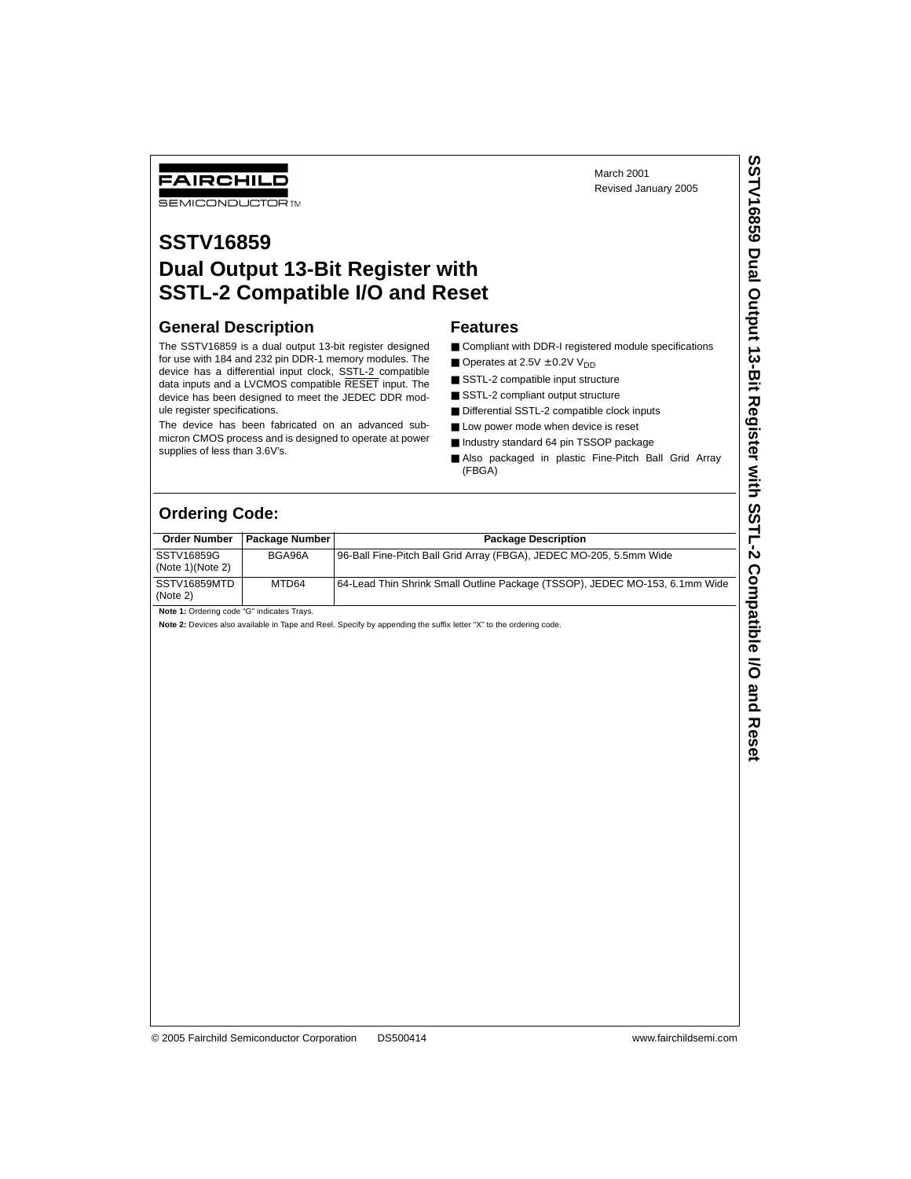March 2001 Revised January 2005

# FAIRCHILD

**SEMICONDUCTOR TM** 

## **SSTV16859 Dual Output 13-Bit Register with SSTL-2 Compatible I/O and Reset**

#### **General Description**

The SSTV16859 is a dual output 13-bit register designed for use with 184 and 232 pin DDR-1 memory modules. The device has a differential input clock, SSTL-2 compatible data inputs and a LVCMOS compatible RESET input. The device has been designed to meet the JEDEC DDR module register specifications.

The device has been fabricated on an advanced submicron CMOS process and is designed to operate at power supplies of less than 3.6V's.

#### **Features**

- Compliant with DDR-I registered module specifications
- Operates at  $2.5V \pm 0.2V$  V<sub>DD</sub>
- SSTL-2 compatible input structure
- SSTL-2 compliant output structure
- Differential SSTL-2 compatible clock inputs
- Low power mode when device is reset
- Industry standard 64 pin TSSOP package
- Also packaged in plastic Fine-Pitch Ball Grid Array (FBGA)

### **Ordering Code:**

| <b>Order Number</b>            | <b>Package Number</b> | <b>Package Description</b>                                                   |
|--------------------------------|-----------------------|------------------------------------------------------------------------------|
| SSTV16859G<br>(Note 1)(Note 2) | BGA96A                | 96-Ball Fine-Pitch Ball Grid Array (FBGA), JEDEC MO-205, 5.5mm Wide          |
| SSTV16859MTD<br>(Note 2)       | MTD64                 | 164-Lead Thin Shrink Small Outline Package (TSSOP), JEDEC MO-153, 6.1mm Wide |

**Note 1:** Ordering code "G" indicates Trays.

**Note 2:** Devices also available in Tape and Reel. Specify by appending the suffix letter "X" to the ordering code.

© 2005 Fairchild Semiconductor Corporation DS500414 www.fairchildsemi.com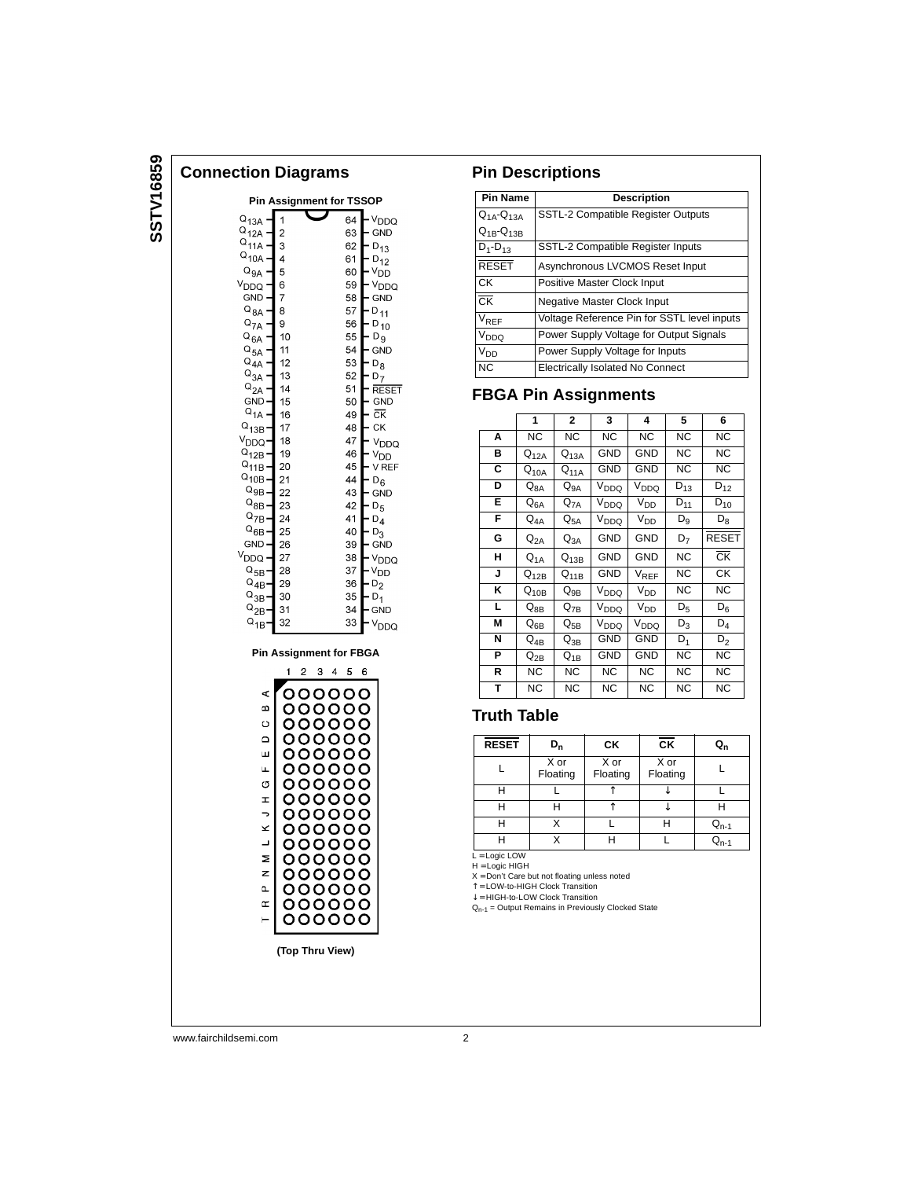# SSTV16859 **SSTV16859**

**Connection Diagrams**

#### **Pin Assignment for TSSOP**  $Q_{13A}$  $64$ V<sub>DDQ</sub>  $\overline{1}$  $Q_{12A}$  –  $\vert$  2 63  $-$  GND  $Q_{11A}^{12A}$  $\frac{D_{13}}{D_{12}}$ 3 62  $Q_{10A}$ 4 61  $\mathsf{Q}_{\mathsf{GA}}$  $\overline{5}$ 60  $\vee$ <sub>DD</sub>  $V_{DDQ}$ - V<sub>DDQ</sub><br>- V<sub>DDQ</sub> 6 59 GND | 7 58  $\frac{6}{11}$  $Q_{8A}$ - $|8$ 57  $-0.11$ <br> $-0.10$ <br> $-0.9$  $\frac{Q_{7A}^{0.7}}{Q_{2.6}}$ 56 | 9  $Q_{\text{BA}}$   $Q_{\text{BA}}$   $Q_{\text{BA}}$   $Q_{\text{BA}}$   $Q_{\text{BA}}$  $10$ 55 11 54  $-$  GND  $12$ 53  $-{\frac{5}{6}}$ <br> $-{\frac{5}{6}}$ 13 52  $Q_{2A}$  –<br>GND – – RESET<br>– GND<br>– CK  $|14$ 51 15 50  $Q_{1A}$ 16 49  $^{0}_{13B}$ - $|17$ 48 – ск  $V_{DDQ}$  – 18 47 V<sub>DDQ</sub> - <sup>VDDQ</sup><br>- V<sub>DD</sub><br>- VREF 19 46  $\frac{Q_{11B}}{Q_{12B}}$  = 20 45  $Q_{10B}$  $-D_6$ 21 44  $Q_{9B}$  - 22 43 – GND  $Q_{\text{BB}}$  - 22<br>  $Q_{\text{7B}}$  - 24<br>  $Q_{\text{6B}}$  - 25 42  $-$  D<sub>5</sub> 41  $-D_4$  $- \frac{54}{9}$ <br>- GND 40  $GND -$ 26 39  $V_{DDQ}$ 27 38 V<sub>DDQ</sub>  $-$ Y<sub>DD</sub>  $Q_{5B}$  28 37  $Q_{AB} = 29$ <br>  $Q_{3B} = 30$ <br>  $Q_{2B} = 31$  $\frac{D_L}{D_2}$ 36 35 34  $-$  GND  $Q_{1B}$ 32  $33<sup>°</sup>$ V<sub>DDQ</sub> **Pin Assignment for FBGA**  $1 2 3 4 5 6$ 000000  $\triangleleft$ മ 000000  $\circ$ 000000  $\Omega$ 000000 Щ 000000 000000  $\mathbf{u}$ 000000  $\circ$ 000000  $\pm$  $\overline{\phantom{a}}$ 000000  $\geq$ 000000  $\overline{\phantom{a}}$ 000000 Σ 000000  $\overline{z}$ 000000  $\mathbf{a}$ 000000  $\mathrel{\mathsf{c}}$ 000000 000000  $\vdash$

**(Top Thru View)**

#### **Pin Descriptions**

| <b>Pin Name</b>        | <b>Description</b>                          |
|------------------------|---------------------------------------------|
| $Q_{1A} - Q_{13A}$     | <b>SSTL-2 Compatible Register Outputs</b>   |
| $Q_{1B}$ - $Q_{13B}$   |                                             |
| $D_1 - D_{13}$         | SSTL-2 Compatible Register Inputs           |
| <b>RESET</b>           | Asynchronous LVCMOS Reset Input             |
| СK                     | Positive Master Clock Input                 |
| $\overline{\text{CK}}$ | Negative Master Clock Input                 |
| $V_{REF}$              | Voltage Reference Pin for SSTL level inputs |
| V <sub>DDQ</sub>       | Power Supply Voltage for Output Signals     |
| V <sub>DD</sub>        | Power Supply Voltage for Inputs             |
| <b>NC</b>              | <b>Electrically Isolated No Connect</b>     |

#### **FBGA Pin Assignments**

|    | 1                            | $\mathbf{2}$                | $\overline{\mathbf{3}}$ | 4                | 5              | 6                      |
|----|------------------------------|-----------------------------|-------------------------|------------------|----------------|------------------------|
| Α  | NC.                          | NC.                         | <b>NC</b>               | NC.              | NC             | <b>NC</b>              |
| в  | $Q_{12A}$                    | $Q_{13A}$                   | <b>GND</b>              | <b>GND</b>       | <b>NC</b>      | <b>NC</b>              |
| C  | $Q_{10A}$                    | $Q_{11A}$                   | GND                     | GND              | <b>NC</b>      | NC.                    |
| D  | $Q_{8A}$                     | $Q_{9A}$                    | V <sub>DDQ</sub>        | V <sub>DDQ</sub> | $D_{13}$       | $D_{12}$               |
| Е  | ${\sf Q}_{\sf 6A}$           | $\mathsf{Q}_{\mathsf{7A}}$  | V <sub>DDQ</sub>        | $V_{DD}$         | $D_{11}$       | $D_{10}$               |
| F. | $\mathrm{Q}_{4\mathrm{A}}$   | $\mathsf{Q}_{5\mathsf{A}}$  | $V_{DDQ}$               | V <sub>DD</sub>  | $\mathsf{D}_9$ | $D_8$                  |
| G  | $\mathsf{Q}_{\mathsf{2A}}$   | ${\sf Q}_{3{\sf A}}$        | <b>GND</b>              | <b>GND</b>       | $\mathsf{D}_7$ | <b>RESET</b>           |
| н  | $\mathsf{Q}_{\mathsf{1A}}$   | $Q_{13B}$                   | <b>GND</b>              | <b>GND</b>       | NC             | $\overline{\text{CK}}$ |
| J  | ${\mathsf Q}_{\mathsf{12B}}$ | $Q_{11B}$                   | GND                     | $V_{REF}$        | <b>NC</b>      | <b>CK</b>              |
| κ  | $\mathsf{Q}_{\mathsf{10B}}$  | $\mathsf{Q}_{9\mathsf{B}}$  | V <sub>DDQ</sub>        | V <sub>DD</sub>  | NC             | <b>NC</b>              |
| L. | $\mathsf{Q}_{8\mathsf{B}}$   | $Q_{7B}$                    | V <sub>DDQ</sub>        | $V_{DD}$         | $D_5$          | $D_6$                  |
| M  | $\mathsf{Q}_{6\mathsf{B}}$   | ${\mathsf Q}_{\mathsf{5B}}$ | V <sub>DDQ</sub>        | $V_{DDQ}$        | $D_3$          | $D_4$                  |
| N  | $Q_{4B}$                     | $Q_{3B}$                    | <b>GND</b>              | GND              | $D_1$          | $\overline{D}_2$       |
| P  | $\mathsf{Q}_{\mathsf{2B}}$   | $Q_{1B}$                    | <b>GND</b>              | GND              | NC             | <b>NC</b>              |
| R  | NС                           | NC.                         | NC.                     | NC.              | <b>NC</b>      | <b>NC</b>              |
| T  | <b>NC</b>                    | NC                          | <b>NC</b>               | <b>NC</b>        | <b>NC</b>      | <b>NC</b>              |

#### **Truth Table**

| <b>RESET</b> | D <sub>n</sub>   | СK               | $\overline{\text{CK}}$ | $Q_{n}$                            |
|--------------|------------------|------------------|------------------------|------------------------------------|
|              | X or<br>Floating | X or<br>Floating | X or<br>Floating       |                                    |
| н            |                  |                  |                        |                                    |
| н            |                  |                  |                        |                                    |
|              |                  |                  |                        | $\mathsf{Q}_{\mathsf{n}\text{-1}}$ |
| н            |                  |                  |                        |                                    |

L = Logic LOW<br>H = Logic HIGH

 $X = Don't Care but not floating unless noted$ 

↑ = LOW-to-HIGH Clock Transition ↓ = HIGH-to-LOW Clock Transition

 $Q_{n-1}$  = Output Remains in Previously Clocked State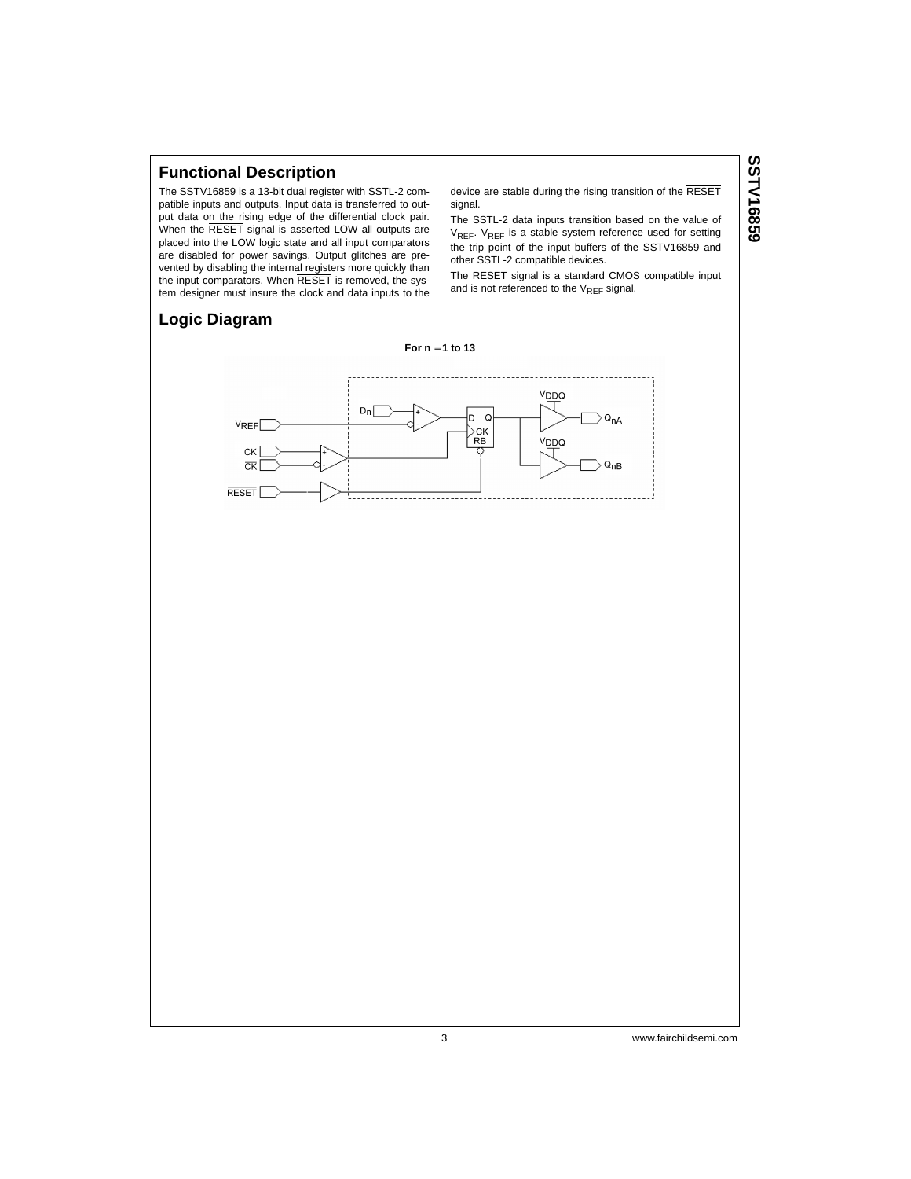#### **Functional Description**

The SSTV16859 is a 13-bit dual register with SSTL-2 compatible inputs and outputs. Input data is transferred to output data on the rising edge of the differential clock pair. When the RESET signal is asserted LOW all outputs are placed into the LOW logic state and all input comparators are disabled for power savings. Output glitches are prevented by disabling the internal registers more quickly than the input comparators. When RESET is removed, the system designer must insure the clock and data inputs to the

device are stable during the rising transition of the RESET signal.

The SSTL-2 data inputs transition based on the value of V<sub>REF</sub>. V<sub>REF</sub> is a stable system reference used for setting the trip point of the input buffers of the SSTV16859 and other SSTL-2 compatible devices.

The RESET signal is a standard CMOS compatible input and is not referenced to the  $V_{REF}$  signal.

# **SSTV16859 SSTV16859**

#### **Logic Diagram**

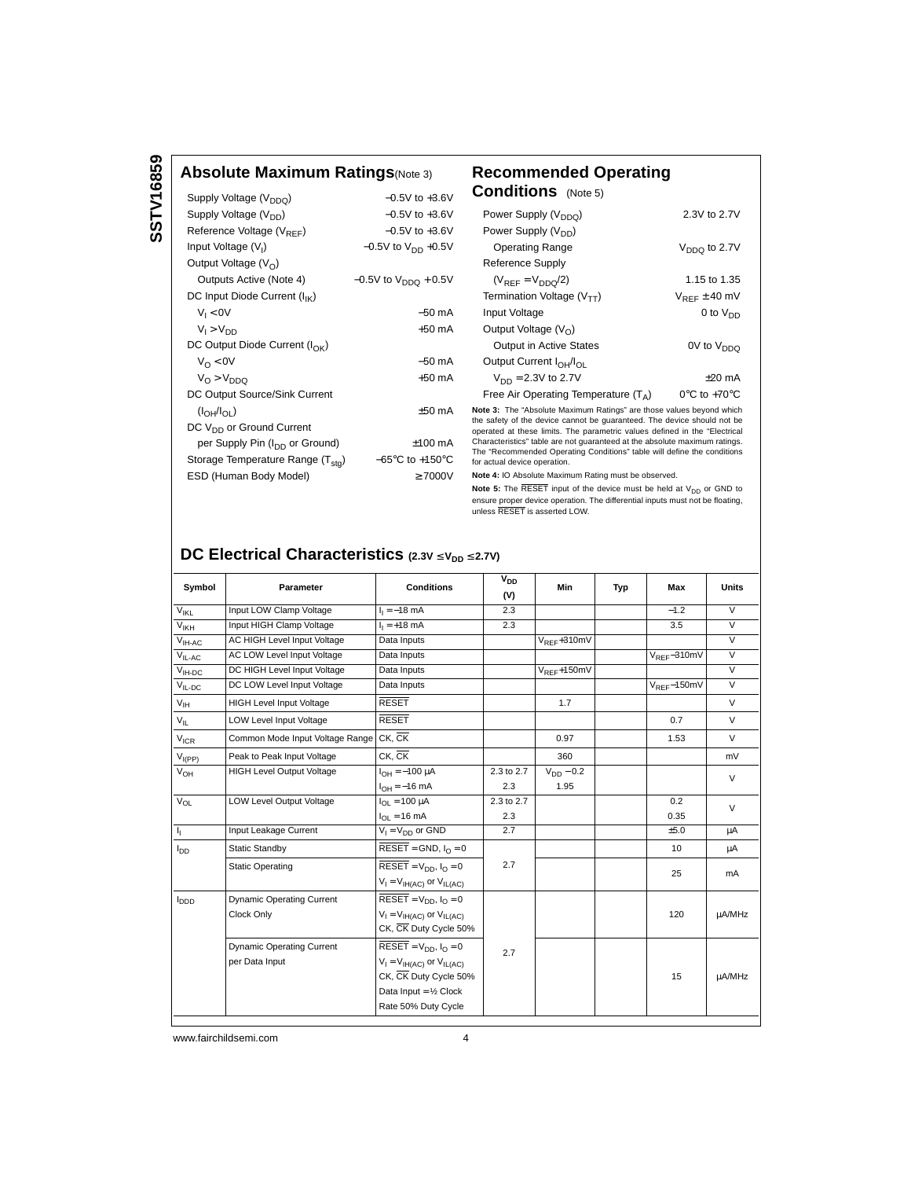### **Absolute Maximum Ratings**(Note 3) **Recommended Operating**

| Supply Voltage (V <sub>DDQ</sub> )            | $-0.5V$ to $+3.6V$                  |
|-----------------------------------------------|-------------------------------------|
| Supply Voltage (V <sub>DD</sub> )             | $-0.5V$ to $+3.6V$                  |
| Reference Voltage $(V_{RFF})$                 | $-0.5V$ to $+3.6V$                  |
| Input Voltage $(V1)$                          | $-0.5V$ to $V_{DD}$ +0.5V           |
| Output Voltage $(VO)$                         |                                     |
| Outputs Active (Note 4)                       | $-0.5V$ to $V_{DDO}$ + 0.5V         |
| DC Input Diode Current (I <sub>IK</sub> )     |                                     |
| $V_1 < 0V$                                    | $-50$ mA                            |
| $V_1 > V_{DD}$                                | $+50 \text{ mA}$                    |
| DC Output Diode Current $(I_{\cap K})$        |                                     |
| $V_{\Omega}$ < 0V                             | $-50$ mA                            |
| $V_{\Omega}$ > $V_{\text{DDO}}$               | $+50 \text{ mA}$                    |
| DC Output Source/Sink Current                 |                                     |
| (I <sub>OH</sub> /I <sub>OI</sub> )           | $+50 \text{ mA}$                    |
| DC V <sub>DD</sub> or Ground Current          |                                     |
| per Supply Pin (I <sub>DD</sub> or Ground)    | $±100$ mA                           |
| Storage Temperature Range (T <sub>sto</sub> ) | $-65^{\circ}$ C to $+150^{\circ}$ C |
| ESD (Human Body Model)                        | >7000V                              |
|                                               |                                     |

| Recommended Operating<br><b>Conditions</b> (Note 5)                          |                                   |
|------------------------------------------------------------------------------|-----------------------------------|
| Power Supply (V <sub>DDQ</sub> )                                             | 2.3V to 2.7V                      |
| Power Supply (V <sub>DD</sub> )                                              |                                   |
| <b>Operating Range</b>                                                       | $V_{DDQ}$ to 2.7V                 |
| Reference Supply                                                             |                                   |
| $(V_{REF} = V_{DDO}/2)$                                                      | 1.15 to 1.35                      |
| Termination Voltage $(V_{TT})$                                               | $V_{RFF}$ $\pm$ 40 mV             |
| Input Voltage                                                                | 0 to $V_{DD}$                     |
| Output Voltage $(V0)$                                                        |                                   |
| <b>Output in Active States</b>                                               | 0V to V <sub>DDQ</sub>            |
| Output Current I <sub>OH</sub> /I <sub>OI</sub>                              |                                   |
| $V_{DD} = 2.3V$ to 2.7V                                                      | $+20$ mA                          |
| Free Air Operating Temperature $(T_A)$                                       | $0^{\circ}$ C to +70 $^{\circ}$ C |
| Maria A. Tha BAbashira Maritime Dattagell and these contrast because thirteb |                                   |

**Note 3:** The "Absolute Maximum Ratings" are those values beyond which the safety of the device cannot be guaranteed. The device should not be operated at these limits. The parametric values defined in the "Electrical<br>Characteristics" table are not guaranteed at the absolute maximum ratings.<br>The "Recommended Operating Conditions" table will define the conditions for actual device operation.

**Note 4:** IO Absolute Maximum Rating must be observed.

**Note 5:** The RESET input of the device must be held at V<sub>DD</sub> or GND to<br>ensure proper device operation. The differential inputs must not be floating, unless RESET is asserted LOW.

### **DC Electrical Characteristics (2.3V ≤ V<sub>DD</sub> ≤ 2.7V)**

| Symbol                  | Parameter                              | <b>Conditions</b>                                     | V <sub>DD</sub> | Min              | Typ | Max              | <b>Units</b>            |  |
|-------------------------|----------------------------------------|-------------------------------------------------------|-----------------|------------------|-----|------------------|-------------------------|--|
|                         |                                        |                                                       | (V)             |                  |     |                  |                         |  |
| VIKL                    | Input LOW Clamp Voltage                | $I_1 = -18$ mA                                        | 2.3             |                  |     | $-1.2$           | $\overline{\mathsf{v}}$ |  |
| V <sub>IKH</sub>        | Input HIGH Clamp Voltage               | $I_1 = +18$ mA                                        | 2.3             |                  |     | 3.5              | $\overline{V}$          |  |
| $V_{\text{IH-AC}}$      | AC HIGH Level Input Voltage            | Data Inputs                                           |                 | $V_{REF}$ +310mV |     |                  | $\overline{V}$          |  |
| $V_{IL-AC}$             | AC LOW Level Input Voltage             | Data Inputs                                           |                 |                  |     | $V_{RFF}$ -310mV | $\overline{V}$          |  |
| $VIH-DC$                | DC HIGH Level Input Voltage            | Data Inputs                                           |                 | $V_{REF}$ +150mV |     |                  | $\overline{\mathsf{v}}$ |  |
| $V_{IL-DC}$             | DC LOW Level Input Voltage             | Data Inputs                                           |                 |                  |     | $V_{RFF}$ -150mV | $\overline{V}$          |  |
| $V_{IH}$                | <b>HIGH Level Input Voltage</b>        | <b>RESET</b>                                          | 1.7             |                  |     | $\vee$           |                         |  |
| $V_{\parallel}$         | <b>LOW Level Input Voltage</b>         | <b>RESET</b>                                          |                 |                  |     | 0.7              | $\vee$                  |  |
| $V_{ICR}$               | Common Mode Input Voltage Range CK, CK |                                                       |                 | 0.97             |     | 1.53             | $\vee$                  |  |
| $V_{I(PP)}$             | Peak to Peak Input Voltage             | CK. CK                                                |                 | 360              |     |                  | mV                      |  |
| $V_{OH}$                | <b>HIGH Level Output Voltage</b>       | $I_{OH} = -100 \mu A$                                 | 2.3 to 2.7      | $V_{DD} - 0.2$   |     |                  | V                       |  |
|                         |                                        | $I_{OH} = -16$ mA                                     | 2.3             | 1.95             |     |                  |                         |  |
| $V_{OL}$                | <b>LOW Level Output Voltage</b>        | $I_{\Omega I} = 100 \mu A$                            | 2.3 to 2.7      |                  |     | 0.2              | $\vee$                  |  |
|                         |                                        | $I_{OL}$ = 16 mA                                      | 2.3             |                  |     | 0.35             |                         |  |
| 4                       | Input Leakage Current                  | $V_1 = V_{DD}$ or GND                                 | 2.7             |                  |     | ±5.0             | μA                      |  |
| l <sub>DD</sub>         | Static Standby                         | $\overline{\text{RESET}}$ = GND, $I_{\Omega}$ = 0     |                 |                  |     | 10               | μA                      |  |
|                         | <b>Static Operating</b>                | $\overline{\text{RESET}} = V_{DD}$ , $I_{\Omega} = 0$ | 2.7             |                  |     |                  |                         |  |
|                         |                                        | $V_I = V_{IH(AC)}$ or $V_{IL(AC)}$                    |                 |                  |     | 25               | mA                      |  |
| <b>I</b> <sub>DDD</sub> | <b>Dynamic Operating Current</b>       | $\overline{\text{RESET}} = V_{DD}, I_0 = 0$           |                 |                  |     |                  |                         |  |
|                         | Clock Only                             | $V_I = V_{IH(AC)}$ or $V_{IL(AC)}$                    |                 |                  |     | 120              | µA/MHz                  |  |
|                         |                                        | CK, CK Duty Cycle 50%                                 |                 |                  |     |                  |                         |  |
|                         | <b>Dynamic Operating Current</b>       | $\overline{\text{RESET}} = V_{DD}, I_{O} = 0$         | 2.7             |                  |     |                  |                         |  |
|                         | per Data Input                         | $V_I = V_{IH(AC)}$ or $V_{IL(AC)}$                    |                 |                  |     |                  |                         |  |
|                         |                                        | CK, CK Duty Cycle 50%                                 |                 |                  |     | 15               | µA/MHz                  |  |
|                         |                                        | Data Input = $\frac{1}{2}$ Clock                      |                 |                  |     |                  |                         |  |
|                         |                                        | Rate 50% Duty Cycle                                   |                 |                  |     |                  |                         |  |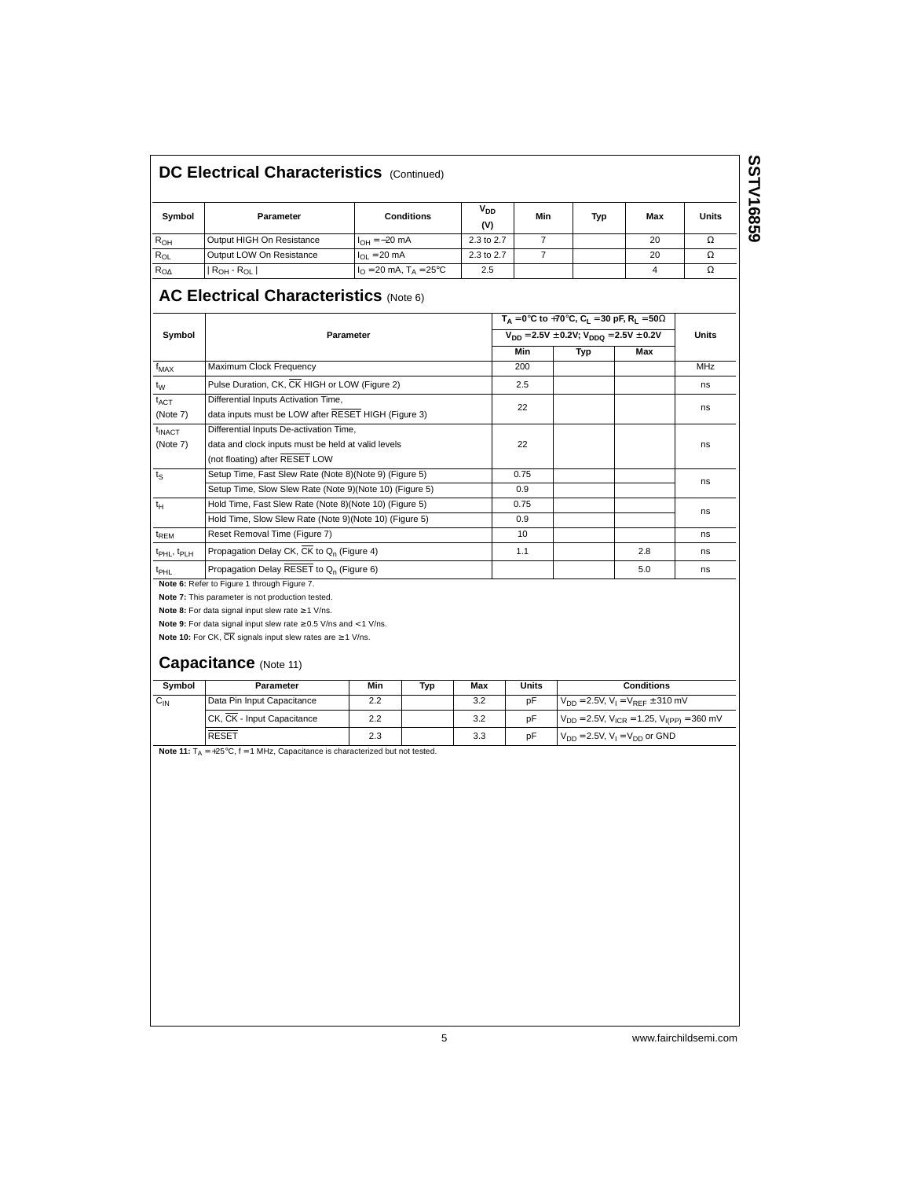### **DC Electrical Characteristics (Continued)**

| Symbol   | Parameter                 | <b>Conditions</b>                                                | V <sub>DD</sub><br>(V) | Min | <b>Typ</b> | Max | Units |
|----------|---------------------------|------------------------------------------------------------------|------------------------|-----|------------|-----|-------|
| $R_{OH}$ | Output HIGH On Resistance | $I_{OH} = -20$ mA                                                | 2.3 to 2.7             |     |            | 20  | Ω     |
| $R_{OL}$ | Output LOW On Resistance  | $I_{\Omega I} = 20 \text{ mA}$                                   | 2.3 to 2.7             |     |            | 20  | Ω     |
| $R_{OA}$ | $R_{OH}$ - $R_{OL}$       | $I_{\Omega} = 20 \text{ mA}, T_{\text{A}} = 25^{\circ} \text{C}$ | 2.5                    |     |            |     | Ω     |

# **SSTV16859 SSTV16859**

### **AC Electrical Characteristics** (Note 6)

|                               |                                                                                     |            |     |     | $T_A = 0$ °C to +70°C, C <sub>1</sub> = 30 pF, R <sub>1</sub> = 50 $\Omega$ |              |                                              |     |  |
|-------------------------------|-------------------------------------------------------------------------------------|------------|-----|-----|-----------------------------------------------------------------------------|--------------|----------------------------------------------|-----|--|
| Symbol                        | Parameter                                                                           |            |     |     | $V_{DD} = 2.5V \pm 0.2V$ ; $V_{DDO} = 2.5V \pm 0.2V$                        | <b>Units</b> |                                              |     |  |
|                               |                                                                                     |            | Min | Typ | Max                                                                         |              |                                              |     |  |
| $f_{MAX}$                     | Maximum Clock Frequency                                                             |            |     |     | 200                                                                         |              |                                              | MHz |  |
| $t_W$                         | Pulse Duration, CK, CK HIGH or LOW (Figure 2)                                       |            |     |     | 2.5                                                                         |              |                                              | ns  |  |
| $t_{\text{ACT}}$              | Differential Inputs Activation Time,                                                |            |     |     | 22                                                                          |              |                                              | ns  |  |
| (Note 7)                      | data inputs must be LOW after RESET HIGH (Figure 3)                                 |            |     |     |                                                                             |              |                                              |     |  |
| $t_{\text{INACT}}$            | Differential Inputs De-activation Time,                                             |            |     |     |                                                                             |              |                                              |     |  |
| (Note 7)                      | data and clock inputs must be held at valid levels                                  |            |     |     | 22                                                                          |              |                                              | ns  |  |
|                               | (not floating) after RESET LOW                                                      |            |     |     |                                                                             |              |                                              |     |  |
| $t_{\rm S}$                   | Setup Time, Fast Slew Rate (Note 8)(Note 9) (Figure 5)                              |            |     |     | 0.75                                                                        |              |                                              | ns  |  |
|                               | Setup Time, Slow Slew Rate (Note 9)(Note 10) (Figure 5)                             |            |     |     | 0.9                                                                         |              |                                              |     |  |
| $t_H$                         | Hold Time, Fast Slew Rate (Note 8)(Note 10) (Figure 5)                              |            |     |     | 0.75                                                                        |              |                                              | ns  |  |
|                               | Hold Time, Slow Slew Rate (Note 9) (Note 10) (Figure 5)                             |            |     |     | 0.9                                                                         |              |                                              |     |  |
| $t_{\text{REM}}$              | Reset Removal Time (Figure 7)                                                       |            |     |     | 10                                                                          |              |                                              | ns  |  |
| $t_{\rm PHL}$ , $t_{\rm PLH}$ | Propagation Delay CK, CK to Q <sub>n</sub> (Figure 4)                               |            |     |     | 1.1                                                                         |              | 2.8                                          | ns  |  |
| $t_{\rm PHL}$                 | Propagation Delay RESET to Q <sub>n</sub> (Figure 6)                                |            |     |     | 5.0<br>ns                                                                   |              |                                              |     |  |
|                               | Note 6: Refer to Figure 1 through Figure 7.                                         |            |     |     |                                                                             |              |                                              |     |  |
|                               | Note 7: This parameter is not production tested.                                    |            |     |     |                                                                             |              |                                              |     |  |
|                               | Note 8: For data signal input slew rate $\geq 1$ V/ns.                              |            |     |     |                                                                             |              |                                              |     |  |
|                               | Note 9: For data signal input slew rate $\geq$ 0.5 V/ns and < 1 V/ns.               |            |     |     |                                                                             |              |                                              |     |  |
|                               | Note 10: For CK, $\overline{\text{CK}}$ signals input slew rates are $\geq 1$ V/ns. |            |     |     |                                                                             |              |                                              |     |  |
|                               | Capacitance (Note 11)                                                               |            |     |     |                                                                             |              |                                              |     |  |
| Symbol                        | Parameter                                                                           | <b>Min</b> | Typ | Max | <b>Units</b>                                                                |              | <b>Conditions</b>                            |     |  |
| $C_{IN}$                      | Data Pin Input Capacitance                                                          | 2.2        |     | 3.2 | pF                                                                          |              | $V_{DD} = 2.5V$ , $V_1 = V_{REF} \pm 310$ mV |     |  |
|                               |                                                                                     |            |     |     |                                                                             |              |                                              |     |  |

CK,  $\overline{CK}$  - Input Capacitance 2.2 2.2 3.2 pF  $V_{DD} = 2.5V$ ,  $V_{ICR} = 1.25$ ,  $V_{I(PP)} = 360$  mV RESET 2.3 3.3 pF  $V_{DD} = 2.5V$ ,  $V_1 = V_{DD}$  or GND

**Note 11:**  $T_A = +25^\circ C$ ,  $f = 1$  MHz, Capacitance is characterized but not tested.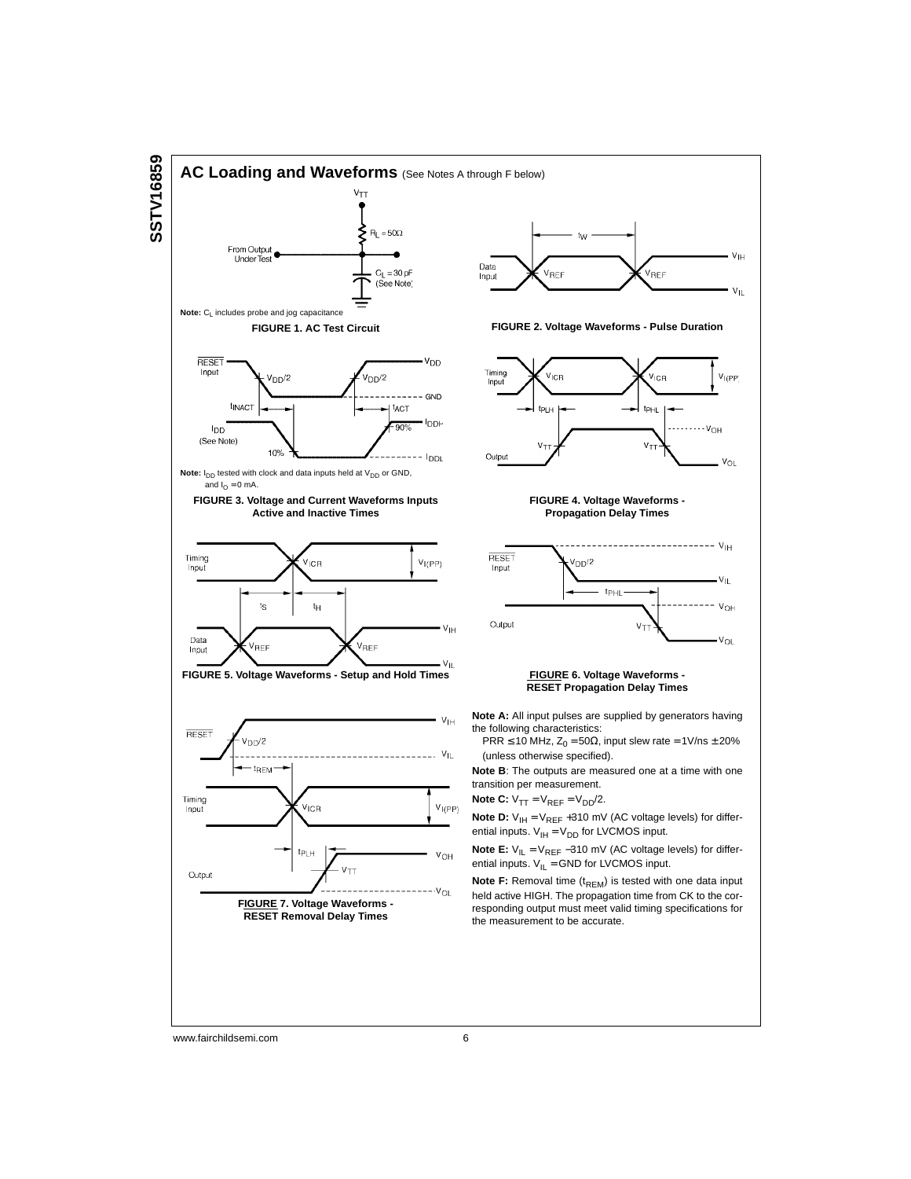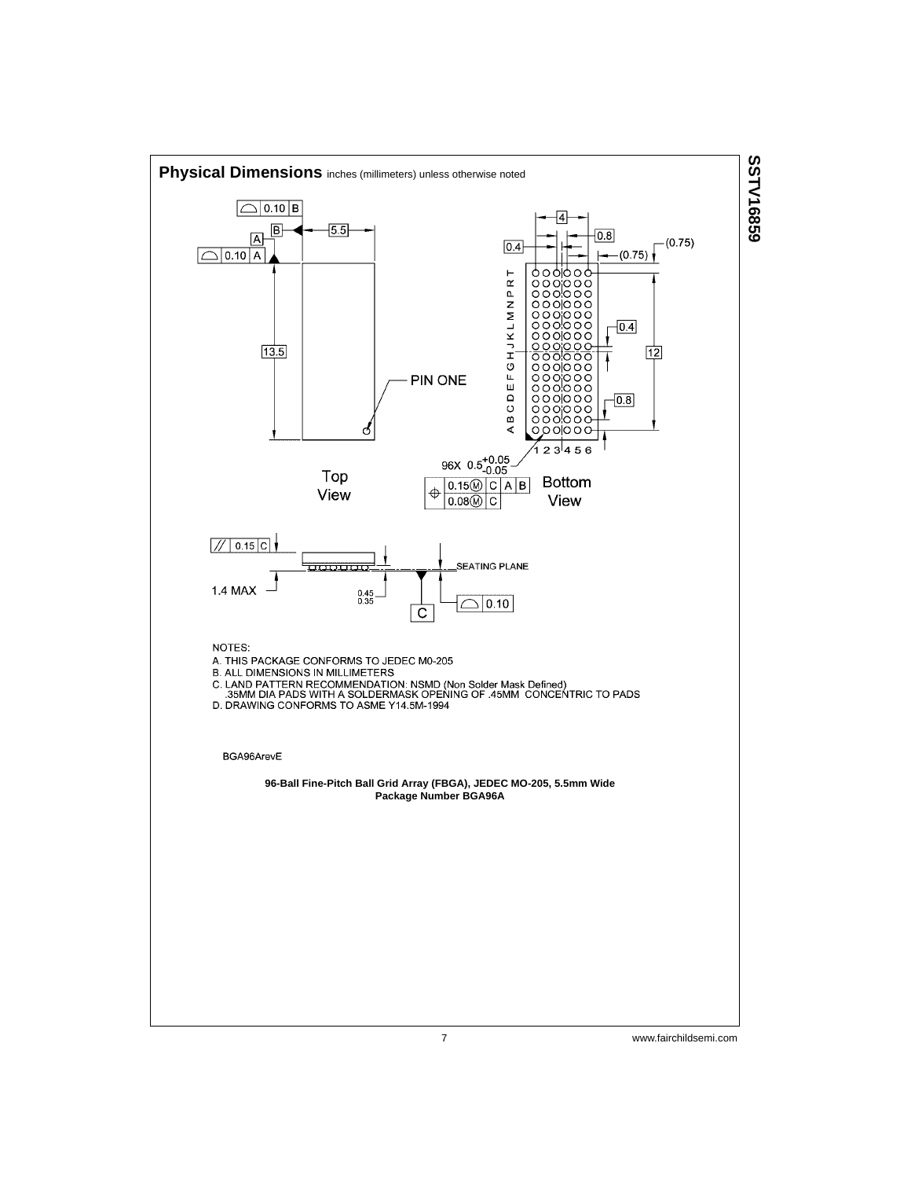

# SSTV16859 **SSTV16859**